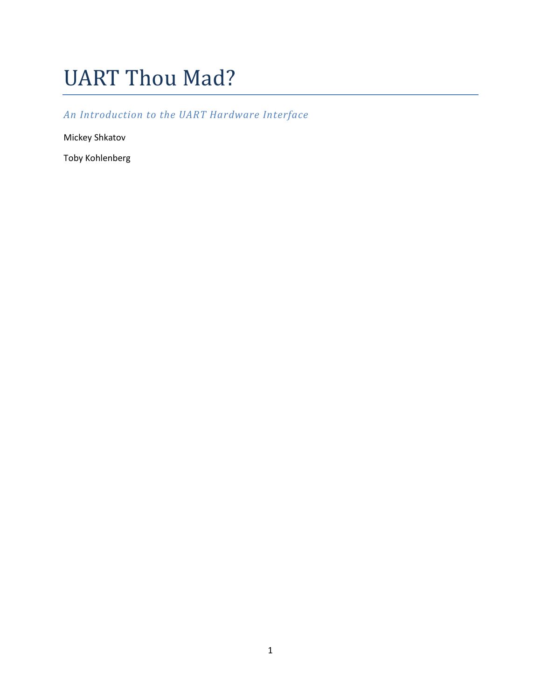# UART Thou Mad?

# *An Introduction to the UART Hardware Interface*

Mickey Shkatov

Toby Kohlenberg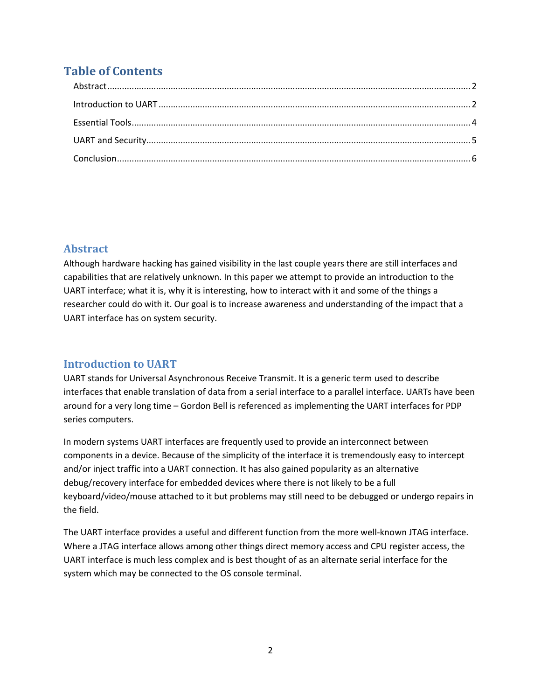# **Table of Contents**

## <span id="page-1-0"></span>**Abstract**

Although hardware hacking has gained visibility in the last couple years there are still interfaces and capabilities that are relatively unknown. In this paper we attempt to provide an introduction to the UART interface; what it is, why it is interesting, how to interact with it and some of the things a researcher could do with it. Our goal is to increase awareness and understanding of the impact that a UART interface has on system security.

## <span id="page-1-1"></span>**Introduction to UART**

UART stands for Universal Asynchronous Receive Transmit. It is a generic term used to describe interfaces that enable translation of data from a serial interface to a parallel interface. UARTs have been around for a very long time – Gordon Bell is referenced as implementing the UART interfaces for PDP series computers.

In modern systems UART interfaces are frequently used to provide an interconnect between components in a device. Because of the simplicity of the interface it is tremendously easy to intercept and/or inject traffic into a UART connection. It has also gained popularity as an alternative debug/recovery interface for embedded devices where there is not likely to be a full keyboard/video/mouse attached to it but problems may still need to be debugged or undergo repairs in the field.

The UART interface provides a useful and different function from the more well-known JTAG interface. Where a JTAG interface allows among other things direct memory access and CPU register access, the UART interface is much less complex and is best thought of as an alternate serial interface for the system which may be connected to the OS console terminal.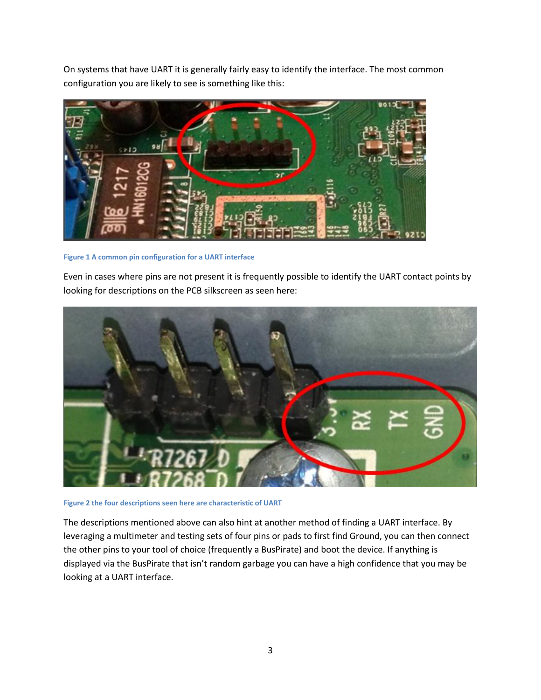On systems that have UART it is generally fairly easy to identify the interface. The most common configuration you are likely to see is something like this:



**Figure 1 A common pin configuration for a UART interface**

Even in cases where pins are not present it is frequently possible to identify the UART contact points by looking for descriptions on the PCB silkscreen as seen here:



**Figure 2 the four descriptions seen here are characteristic of UART**

The descriptions mentioned above can also hint at another method of finding a UART interface. By leveraging a multimeter and testing sets of four pins or pads to first find Ground, you can then connect the other pins to your tool of choice (frequently a BusPirate) and boot the device. If anything is displayed via the BusPirate that isn't random garbage you can have a high confidence that you may be looking at a UART interface.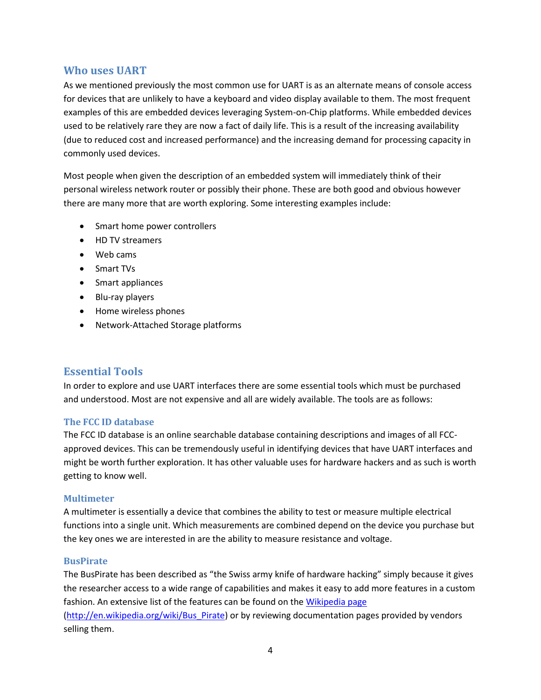### **Who uses UART**

As we mentioned previously the most common use for UART is as an alternate means of console access for devices that are unlikely to have a keyboard and video display available to them. The most frequent examples of this are embedded devices leveraging System-on-Chip platforms. While embedded devices used to be relatively rare they are now a fact of daily life. This is a result of the increasing availability (due to reduced cost and increased performance) and the increasing demand for processing capacity in commonly used devices.

Most people when given the description of an embedded system will immediately think of their personal wireless network router or possibly their phone. These are both good and obvious however there are many more that are worth exploring. Some interesting examples include:

- Smart home power controllers
- HD TV streamers
- Web cams
- Smart TVs
- Smart appliances
- Blu-ray players
- Home wireless phones
- Network-Attached Storage platforms

## <span id="page-3-0"></span>**Essential Tools**

In order to explore and use UART interfaces there are some essential tools which must be purchased and understood. Most are not expensive and all are widely available. The tools are as follows:

#### **The FCC ID database**

The FCC ID database is an online searchable database containing descriptions and images of all FCCapproved devices. This can be tremendously useful in identifying devices that have UART interfaces and might be worth further exploration. It has other valuable uses for hardware hackers and as such is worth getting to know well.

#### **Multimeter**

A multimeter is essentially a device that combines the ability to test or measure multiple electrical functions into a single unit. Which measurements are combined depend on the device you purchase but the key ones we are interested in are the ability to measure resistance and voltage.

#### **BusPirate**

The BusPirate has been described as "the Swiss army knife of hardware hacking" simply because it gives the researcher access to a wide range of capabilities and makes it easy to add more features in a custom fashion. An extensive list of the features can be found on the [Wikipedia page](http://en.wikipedia.org/wiki/Bus_Pirate) [\(http://en.wikipedia.org/wiki/Bus\\_Pirate\)](http://en.wikipedia.org/wiki/Bus_Pirate) or by reviewing documentation pages provided by vendors selling them.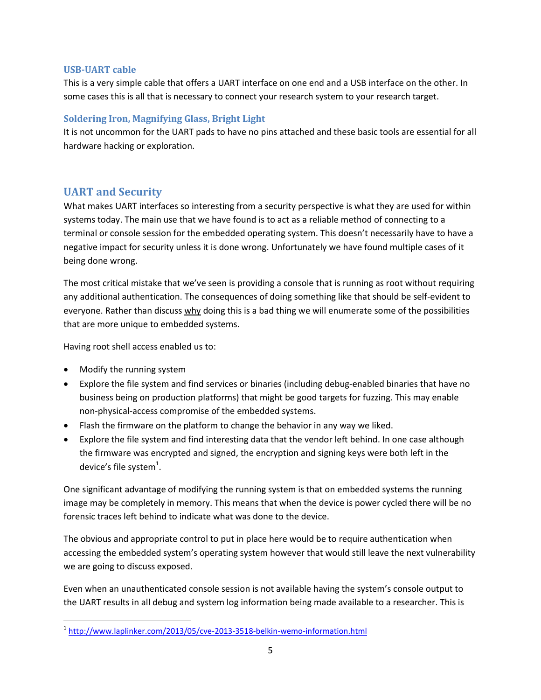#### **USB-UART cable**

This is a very simple cable that offers a UART interface on one end and a USB interface on the other. In some cases this is all that is necessary to connect your research system to your research target.

#### **Soldering Iron, Magnifying Glass, Bright Light**

It is not uncommon for the UART pads to have no pins attached and these basic tools are essential for all hardware hacking or exploration.

## <span id="page-4-0"></span>**UART and Security**

What makes UART interfaces so interesting from a security perspective is what they are used for within systems today. The main use that we have found is to act as a reliable method of connecting to a terminal or console session for the embedded operating system. This doesn't necessarily have to have a negative impact for security unless it is done wrong. Unfortunately we have found multiple cases of it being done wrong.

The most critical mistake that we've seen is providing a console that is running as root without requiring any additional authentication. The consequences of doing something like that should be self-evident to everyone. Rather than discuss why doing this is a bad thing we will enumerate some of the possibilities that are more unique to embedded systems.

Having root shell access enabled us to:

• Modify the running system

 $\overline{\phantom{a}}$ 

- Explore the file system and find services or binaries (including debug-enabled binaries that have no business being on production platforms) that might be good targets for fuzzing. This may enable non-physical-access compromise of the embedded systems.
- Flash the firmware on the platform to change the behavior in any way we liked.
- Explore the file system and find interesting data that the vendor left behind. In one case although the firmware was encrypted and signed, the encryption and signing keys were both left in the device's file system $^1$ .

One significant advantage of modifying the running system is that on embedded systems the running image may be completely in memory. This means that when the device is power cycled there will be no forensic traces left behind to indicate what was done to the device.

The obvious and appropriate control to put in place here would be to require authentication when accessing the embedded system's operating system however that would still leave the next vulnerability we are going to discuss exposed.

Even when an unauthenticated console session is not available having the system's console output to the UART results in all debug and system log information being made available to a researcher. This is

<sup>&</sup>lt;sup>1</sup> <http://www.laplinker.com/2013/05/cve-2013-3518-belkin-wemo-information.html>